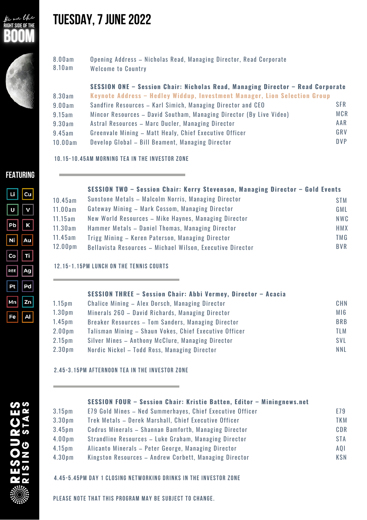



# **TUESDAY,7JUNE2022**

| 8.00am | Opening Address - Nicholas Read, Managing Director, Read Corporate |
|--------|--------------------------------------------------------------------|
| 8.10am | Welcome to Country                                                 |

#### **SESSION ONE – Session Chair: Nicholas Read, Managing Director – Read Corporate**

| 8.30am  | Keynote Address - Hedley Widdup, Investment Manager, Lion Selection Group |            |
|---------|---------------------------------------------------------------------------|------------|
| 9.00am  | Sandfire Resources - Karl Simich, Managing Director and CEO               | <b>SFR</b> |
| 9.15am  | Mincor Resources - David Southam, Managing Director (By Live Video)       | MCR        |
| 9.30am  | Astral Resources - Marc Ducler, Managing Director                         | AAR        |
| 9.45am  | Greenvale Mining - Matt Healy, Chief Executive Officer                    | GRV        |
| 10.00am | Develop Global - Bill Beament, Managing Director                          | DVP.       |
|         |                                                                           |            |

**10.15-10.45am Morning Tea in the Investor Zone**

### **FEATURING**

| Li  | Cu |
|-----|----|
| U   | v  |
| Pb  | -K |
| Ni  | Au |
| Co  | Ti |
| REE | Ag |
| Pt  | Pd |
| Mn  | Zn |
| Fe  | Al |

| SESSION TWO - Session Chair: Kerry Stevenson, Managing Director - Gold Events |  |
|-------------------------------------------------------------------------------|--|
|-------------------------------------------------------------------------------|--|

| 10.45am             | Sunstone Metals - Malcolm Norris, Managing Director       | <b>STM</b> |
|---------------------|-----------------------------------------------------------|------------|
| 11.00am             | Gateway Mining - Mark Cossom, Managing Director           | GML.       |
| 11.15am             | New World Resources - Mike Haynes, Managing Director      | <b>NWC</b> |
| 11.30am             | Hammer Metals - Daniel Thomas, Managing Director          | <b>HMX</b> |
| 11.45am             | Trigg Mining - Keren Paterson, Managing Director          | TMG        |
| 12.00 <sub>pm</sub> | Bellavista Resources - Michael Wilson, Executive Director | BVR        |

#### **12.15-1.15pm Lunch on the Tennis Courts**

|                    | SESSION THREE - Session Chair: Abbi Vermey, Director - Acacia |            |
|--------------------|---------------------------------------------------------------|------------|
| 1.15 <sub>pm</sub> | Chalice Mining - Alex Dorsch, Managing Director               | CHN        |
| 1.30 <sub>pm</sub> | Minerals 260 - David Richards, Managing Director              | MI6        |
| 1.45 <sub>pm</sub> | Breaker Resources - Tom Sanders, Managing Director            | <b>BRB</b> |
| 2.00 <sub>pm</sub> | Talisman Mining - Shaun Vokes, Chief Executive Officer        | TLM        |
| 2.15 <sub>pm</sub> | Silver Mines - Anthony McClure, Managing Director             | <b>SVL</b> |
| 2.30 <sub>pm</sub> | Nordic Nickel - Todd Ross, Managing Director                  | <b>NNL</b> |

### **2.45-3.15pm Afternoon Tea in the Investor Zone**

|                    | SESSION FOUR - Session Chair: Kristie Batten, Editor - Miningnews.net |            |
|--------------------|-----------------------------------------------------------------------|------------|
| 3.15 <sub>pm</sub> | E79 Gold Mines - Ned Summerhayes, Chief Executive Officer             | E79        |
| 3.30 <sub>pm</sub> | Trek Metals - Derek Marshall, Chief Executive Officer                 | <b>TKM</b> |
| 3.45 <sub>pm</sub> | Codrus Minerals - Shannan Bamforth, Managing Director                 | <b>CDR</b> |
| 4.00 <sub>pm</sub> | Strandline Resources - Luke Graham, Managing Director                 | <b>STA</b> |
| 4.15 <sub>pm</sub> | Alicanto Minerals - Peter George, Managing Director                   | AQI        |
| 4.30 <sub>pm</sub> | Kingston Resources - Andrew Corbett, Managing Director                | <b>KSN</b> |

**4.45-5.45pm Day 1 Closing Networking Drinks in the Investor Zone**

**Please note that this program may be subject to change.**